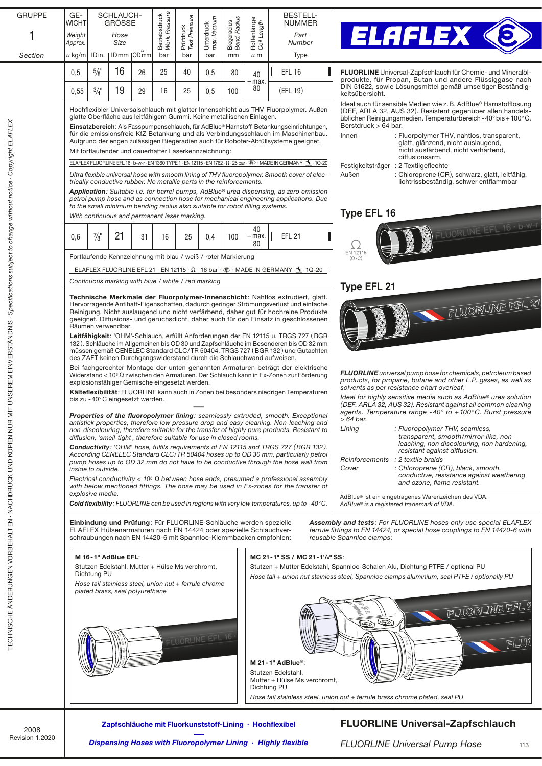| <b>GRUPPE</b>                                                                                             | GE-                |                                                                                                                                                                             | SCHLAUCH-                       |    |                                                                                                                                       |                            |                           |                             |                            |  | <b>BESTELL-</b>                                                                                                                                                                      |                                                                                                                                                       |
|-----------------------------------------------------------------------------------------------------------|--------------------|-----------------------------------------------------------------------------------------------------------------------------------------------------------------------------|---------------------------------|----|---------------------------------------------------------------------------------------------------------------------------------------|----------------------------|---------------------------|-----------------------------|----------------------------|--|--------------------------------------------------------------------------------------------------------------------------------------------------------------------------------------|-------------------------------------------------------------------------------------------------------------------------------------------------------|
|                                                                                                           | <b>WICHT</b>       |                                                                                                                                                                             | <b>GRÖSSE</b>                   |    |                                                                                                                                       |                            |                           |                             |                            |  | <b>NUMMER</b>                                                                                                                                                                        |                                                                                                                                                       |
|                                                                                                           | Weight<br>Approx.  |                                                                                                                                                                             | Hose<br>Size                    |    | Betriebsdruck<br>Work. Pressure                                                                                                       | Prüfdruck<br>Test Pressure | Unterdruck<br>max. Vacuum | Biegeradius<br>Bend. Radius | Rollenlänge<br>Coil Length |  | Part<br>Number                                                                                                                                                                       | <b>ELAFLEX ®</b>                                                                                                                                      |
| Section                                                                                                   | $\approx$ kg/m     |                                                                                                                                                                             | IDin.   IDmm   ODmm             |    | bar                                                                                                                                   | bar                        | bar                       | mm                          | $\approx$ m                |  | Type                                                                                                                                                                                 |                                                                                                                                                       |
|                                                                                                           | 0,5                | $\frac{5}{8}$ "                                                                                                                                                             | 16                              | 26 | 25                                                                                                                                    | 40                         | 0,5                       | 80                          |                            |  | <b>EFL 16</b>                                                                                                                                                                        | FLUORLINE Universal-Zapfschlauch für Chemie- und Mineralöl-                                                                                           |
|                                                                                                           |                    |                                                                                                                                                                             |                                 |    |                                                                                                                                       |                            |                           |                             | 40<br>-max.                |  |                                                                                                                                                                                      | produkte, für Propan, Butan und andere Flüssiggase nach                                                                                               |
|                                                                                                           | 0,55               | $3/4$ "                                                                                                                                                                     | 19                              | 29 | 16                                                                                                                                    | 25                         | 0.5                       | 100                         | 80                         |  | (EFL 19)                                                                                                                                                                             | DIN 51622, sowie Lösungsmittel gemäß umseitiger Beständig-<br>keitsübersicht.<br>Ideal auch für sensible Medien wie z. B. AdBlue® Harnstofflösung     |
|                                                                                                           |                    | Hochflexibler Universalschlauch mit glatter Innenschicht aus THV-Fluorpolymer. Außen<br>glatte Oberfläche aus leitfähigem Gummi. Keine metallischen Einlagen.               |                                 |    |                                                                                                                                       |                            |                           |                             |                            |  | (DEF, ARLA 32, AUS 32). Resistent gegenüber allen handels-<br>üblichen Reinigungsmedien. Temperaturbereich - 40° bis + 100°C.                                                        |                                                                                                                                                       |
|                                                                                                           |                    | Einsatzbereich: Als Fasspumpenschlauch, für AdBlue® Harnstoff-Betankungseinrichtungen,<br>für die emissionsfreie KfZ-Betankung und als Verbindungsschlauch im Maschinenbau. |                                 |    |                                                                                                                                       |                            |                           |                             |                            |  | Berstdruck > 64 bar.                                                                                                                                                                 |                                                                                                                                                       |
|                                                                                                           |                    |                                                                                                                                                                             |                                 |    |                                                                                                                                       |                            |                           |                             |                            |  | Aufgrund der engen zulässigen Biegeradien auch für Roboter-Abfüllsysteme geeignet.                                                                                                   | Innen<br>: Fluorpolymer THV, nahtlos, transparent,<br>glatt, glänzend, nicht auslaugend,                                                              |
| ELEM ELEM RELANDRIQUE - SOBRIQUE - SOBRIQUE - SOBRIQUE - SOBRIQUE - SOBRIQUE - SOBRIQUE - SOBRIQUE - L'AN |                    |                                                                                                                                                                             |                                 |    | Mit fortlaufender und dauerhafter Laserkennzeichnung:                                                                                 |                            |                           |                             |                            |  |                                                                                                                                                                                      | nicht ausfärbend, nicht verhärtend,<br>diffusionsarm.                                                                                                 |
|                                                                                                           |                    |                                                                                                                                                                             |                                 |    |                                                                                                                                       |                            |                           |                             |                            |  | ELAFLEX FLUORLINE EFL 16 · b-w-r · EN 1360 TYPE 1 · EN 12115 · EN 1762 · $\Omega$ · 25 bar · $\circledast$ · MADE IN GERMANY · $\mathcal{P}_\bullet$ · 1Q-20                         | Festigkeitsträger : 2 Textilgeflechte                                                                                                                 |
|                                                                                                           |                    |                                                                                                                                                                             |                                 |    | trically conductive rubber. No metallic parts in the reinforcements.                                                                  |                            |                           |                             |                            |  | Ultra flexible universal hose with smooth lining of THV fluoropolymer. Smooth cover of elec-                                                                                         | Außen<br>: Chloroprene (CR), schwarz, glatt, leitfähig,<br>lichtrissbeständig, schwer entflammbar                                                     |
|                                                                                                           |                    |                                                                                                                                                                             |                                 |    |                                                                                                                                       |                            |                           |                             |                            |  | Application: Suitable i.e. for barrel pumps, AdBlue® urea dispensing, as zero emission                                                                                               |                                                                                                                                                       |
|                                                                                                           |                    |                                                                                                                                                                             |                                 |    | to the small minimum bending radius also suitable for robot filling systems.                                                          |                            |                           |                             |                            |  | petrol pump hose and as connection hose for mechanical engineering applications. Due                                                                                                 |                                                                                                                                                       |
|                                                                                                           |                    |                                                                                                                                                                             |                                 |    | With continuous and permanent laser marking.                                                                                          |                            |                           |                             |                            |  |                                                                                                                                                                                      | <b>Type EFL 16</b>                                                                                                                                    |
|                                                                                                           |                    | $\frac{7}{8}$ "                                                                                                                                                             | 21                              | 31 |                                                                                                                                       |                            | 0,4                       | 100                         | 40<br>·max.                |  | <b>EFL 21</b>                                                                                                                                                                        | FLUORLINE EFL 16 · b-w-r                                                                                                                              |
|                                                                                                           | 0,6                |                                                                                                                                                                             |                                 |    | 16                                                                                                                                    | 25                         |                           |                             | 80                         |  |                                                                                                                                                                                      | <u>( )</u>                                                                                                                                            |
|                                                                                                           |                    |                                                                                                                                                                             |                                 |    | Fortlaufende Kennzeichnung mit blau / weiß / roter Markierung                                                                         |                            |                           |                             |                            |  |                                                                                                                                                                                      | EN 12115<br>$(\Omega$ –C)                                                                                                                             |
|                                                                                                           |                    |                                                                                                                                                                             |                                 |    |                                                                                                                                       |                            |                           |                             |                            |  | ELAFLEX FLUORLINE EFL 21 · EN 12115 · $\Omega$ · 16 bar · $\circledast$ · MADE IN GERMANY · $\bullet$ · 1Q-20                                                                        |                                                                                                                                                       |
|                                                                                                           |                    |                                                                                                                                                                             |                                 |    | Continuous marking with blue / white / red marking                                                                                    |                            |                           |                             |                            |  |                                                                                                                                                                                      | <b>Type EFL 21</b>                                                                                                                                    |
|                                                                                                           |                    |                                                                                                                                                                             |                                 |    |                                                                                                                                       |                            |                           |                             |                            |  | Technische Merkmale der Fluorpolymer-Innenschicht: Nahtlos extrudiert, glatt.                                                                                                        |                                                                                                                                                       |
|                                                                                                           |                    |                                                                                                                                                                             |                                 |    |                                                                                                                                       |                            |                           |                             |                            |  | Hervorragende Antihaft-Eigenschaften, dadurch geringer Strömungsverlust und einfache<br>Reinigung. Nicht auslaugend und nicht verfärbend, daher gut für hochreine Produkte           | FLUORLINE EFL 21                                                                                                                                      |
|                                                                                                           |                    |                                                                                                                                                                             | Räumen verwendbar.              |    |                                                                                                                                       |                            |                           |                             |                            |  | geeignet. Diffusions- und geruchsdicht, daher auch für den Einsatz in geschlossenen                                                                                                  |                                                                                                                                                       |
|                                                                                                           |                    |                                                                                                                                                                             |                                 |    |                                                                                                                                       |                            |                           |                             |                            |  | Leitfähigkeit: 'OHM'-Schlauch, erfüllt Anforderungen der EN 12115 u. TRGS 727 (BGR                                                                                                   |                                                                                                                                                       |
|                                                                                                           |                    |                                                                                                                                                                             |                                 |    |                                                                                                                                       |                            |                           |                             |                            |  | 132). Schläuche im Allgemeinen bis OD 30 und Zapfschläuche im Besonderen bis OD 32 mm<br>müssen gemäß CENELEC Standard CLC/TR 50404, TRGS 727 (BGR 132) und Gutachten                |                                                                                                                                                       |
|                                                                                                           |                    |                                                                                                                                                                             |                                 |    | des ZAFT keinen Durchgangswiderstand durch die Schlauchwand aufweisen.                                                                |                            |                           |                             |                            |  |                                                                                                                                                                                      |                                                                                                                                                       |
|                                                                                                           |                    |                                                                                                                                                                             |                                 |    |                                                                                                                                       |                            |                           |                             |                            |  | Bei fachgerechter Montage der unten genannten Armaturen beträgt der elektrische<br>Widerstand < $10^6 \Omega$ zwischen den Armaturen. Der Schlauch kann in Ex-Zonen zur Förderung    | <b>FLUORLINE</b> universal pump hose for chemicals, petroleum based                                                                                   |
|                                                                                                           |                    |                                                                                                                                                                             |                                 |    | explosionsfähiger Gemische eingesetzt werden.                                                                                         |                            |                           |                             |                            |  |                                                                                                                                                                                      | products, for propane, butane and other L.P. gases, as well as<br>solvents as per resistance chart overleaf.                                          |
|                                                                                                           |                    |                                                                                                                                                                             | bis zu -40°C eingesetzt werden. |    |                                                                                                                                       |                            |                           |                             |                            |  | Kälteflexibilität: FLUORLINE kann auch in Zonen bei besonders niedrigen Temperaturen                                                                                                 | Ideal for highly sensitive media such as AdBlue® urea solution<br>(DEF, ARLA 32, AUS 32). Resistant against all common cleaning                       |
|                                                                                                           |                    |                                                                                                                                                                             |                                 |    |                                                                                                                                       |                            |                           |                             |                            |  | Properties of the fluoropolymer lining: seamlessly extruded, smooth. Exceptional                                                                                                     | agents. Temperature range -40° to +100°C. Burst pressure                                                                                              |
|                                                                                                           |                    |                                                                                                                                                                             |                                 |    |                                                                                                                                       |                            |                           |                             |                            |  | antistick properties, therefore low pressure drop and easy cleaning. Non-leaching and<br>non-discolouring, therefore suitable for the transfer of highly pure products. Resistant to | $>64$ bar.<br>Lining<br>: Fluoropolymer THV, seamless,                                                                                                |
|                                                                                                           |                    |                                                                                                                                                                             |                                 |    | diffusion, 'smell-tight', therefore suitable for use in closed rooms.                                                                 |                            |                           |                             |                            |  |                                                                                                                                                                                      | transparent, smooth/mirror-like, non                                                                                                                  |
|                                                                                                           |                    |                                                                                                                                                                             |                                 |    |                                                                                                                                       |                            |                           |                             |                            |  | <b>Conductivity:</b> 'OHM' hose, fulfils requirements of EN 12115 and TRGS 727 (BGR 132).<br>According CENELEC Standard CLC/TR 50404 hoses up to OD 30 mm, particularly petrol       | leaching, non discolouring, non hardening,<br>resistant against diffusion.                                                                            |
|                                                                                                           | inside to outside. |                                                                                                                                                                             |                                 |    |                                                                                                                                       |                            |                           |                             |                            |  | pump hoses up to OD 32 mm do not have to be conductive through the hose wall from                                                                                                    | Reinforcements : 2 textile braids<br>Cover<br>: Chloroprene (CR), black, smooth,                                                                      |
|                                                                                                           |                    |                                                                                                                                                                             |                                 |    |                                                                                                                                       |                            |                           |                             |                            |  | Electrical conductivity < $106 \Omega$ between hose ends, presumed a professional assembly                                                                                           | conductive, resistance against weathering<br>and ozone, flame resistant.                                                                              |
|                                                                                                           | explosive media.   |                                                                                                                                                                             |                                 |    |                                                                                                                                       |                            |                           |                             |                            |  | with below mentioned fittings. The hose may be used in Ex-zones for the transfer of                                                                                                  |                                                                                                                                                       |
| HALI EN - INA UNU KUFIEN NUR                                                                              |                    |                                                                                                                                                                             |                                 |    |                                                                                                                                       |                            |                           |                             |                            |  | Cold flexibility: FLUORLINE can be used in regions with very low temperatures, up to -40°C.                                                                                          | AdBlue® ist ein eingetragenes Warenzeichen des VDA.<br>AdBlue® is a registered trademark of VDA.                                                      |
|                                                                                                           |                    |                                                                                                                                                                             |                                 |    |                                                                                                                                       |                            |                           |                             |                            |  |                                                                                                                                                                                      |                                                                                                                                                       |
|                                                                                                           |                    |                                                                                                                                                                             |                                 |    | Einbindung und Prüfung: Für FLUORLINE-Schläuche werden spezielle<br>ELAFLEX Hülsenarmaturen nach EN 14424 oder spezielle Schlauchver- |                            |                           |                             |                            |  |                                                                                                                                                                                      | <b>Assembly and tests: For FLUORLINE hoses only use special ELAFLEX</b><br>ferrule fittings to EN 14424, or special hose couplings to EN 14420-6 with |
|                                                                                                           |                    |                                                                                                                                                                             |                                 |    | schraubungen nach EN 14420-6 mit Spannloc-Klemmbacken empfohlen:                                                                      |                            |                           |                             |                            |  |                                                                                                                                                                                      | reusable Spannloc clamps:                                                                                                                             |
| NISCHE ANDENDINGEN VORBEI                                                                                 |                    |                                                                                                                                                                             | M 16-1" AdBlue EFL:             |    |                                                                                                                                       |                            |                           |                             |                            |  | MC 21-1" SS / MC 21-11/4" SS:                                                                                                                                                        |                                                                                                                                                       |
|                                                                                                           |                    | Dichtung PU                                                                                                                                                                 |                                 |    | Stutzen Edelstahl, Mutter + Hülse Ms verchromt,                                                                                       |                            |                           |                             |                            |  |                                                                                                                                                                                      | Stutzen + Mutter Edelstahl, Spannloc-Schalen Alu, Dichtung PTFE / optional PU                                                                         |
|                                                                                                           |                    |                                                                                                                                                                             |                                 |    | Hose tail stainless steel, union nut + ferrule chrome                                                                                 |                            |                           |                             |                            |  |                                                                                                                                                                                      | Hose tail + union nut stainless steel, Spannloc clamps aluminium, seal PTFE / optionally PU                                                           |
|                                                                                                           |                    |                                                                                                                                                                             | plated brass, seal polyurethane |    |                                                                                                                                       |                            |                           |                             |                            |  |                                                                                                                                                                                      |                                                                                                                                                       |
|                                                                                                           |                    |                                                                                                                                                                             |                                 |    |                                                                                                                                       |                            |                           |                             |                            |  |                                                                                                                                                                                      | FLUORLINE EFL 2                                                                                                                                       |
|                                                                                                           |                    |                                                                                                                                                                             |                                 |    |                                                                                                                                       |                            |                           |                             |                            |  |                                                                                                                                                                                      | $\spadesuit$<br>Q                                                                                                                                     |
|                                                                                                           |                    |                                                                                                                                                                             |                                 |    |                                                                                                                                       |                            |                           |                             |                            |  |                                                                                                                                                                                      |                                                                                                                                                       |
|                                                                                                           |                    |                                                                                                                                                                             |                                 |    |                                                                                                                                       |                            | FLUORLINE EFL 16          |                             |                            |  |                                                                                                                                                                                      | FLU                                                                                                                                                   |
|                                                                                                           |                    |                                                                                                                                                                             |                                 |    |                                                                                                                                       |                            |                           |                             |                            |  | M 21-1" AdBlue <sup>®</sup> :                                                                                                                                                        |                                                                                                                                                       |
|                                                                                                           |                    |                                                                                                                                                                             |                                 |    |                                                                                                                                       |                            |                           |                             |                            |  | Stutzen Edelstahl,                                                                                                                                                                   |                                                                                                                                                       |
|                                                                                                           |                    |                                                                                                                                                                             |                                 |    |                                                                                                                                       |                            |                           |                             | Dichtung PU                |  | Mutter + Hülse Ms verchromt,                                                                                                                                                         |                                                                                                                                                       |
|                                                                                                           |                    |                                                                                                                                                                             |                                 |    |                                                                                                                                       |                            |                           |                             |                            |  |                                                                                                                                                                                      | Hose tail stainless steel, union nut + ferrule brass chrome plated, seal PU                                                                           |
|                                                                                                           |                    |                                                                                                                                                                             |                                 |    |                                                                                                                                       |                            |                           |                             |                            |  |                                                                                                                                                                                      |                                                                                                                                                       |
| 2008                                                                                                      |                    |                                                                                                                                                                             |                                 |    | Zapfschläuche mit Fluorkunststoff-Lining · Hochflexibel                                                                               |                            |                           |                             |                            |  |                                                                                                                                                                                      | <b>FLUORLINE Universal-Zapfschlauch</b>                                                                                                               |
| Revision 1.2020                                                                                           |                    |                                                                                                                                                                             |                                 |    |                                                                                                                                       |                            |                           |                             |                            |  | Dispensing Hoses with Fluoropolymer Lining · Highly flexible                                                                                                                         | <b>FLUORLINE Universal Pump Hose</b><br>113                                                                                                           |